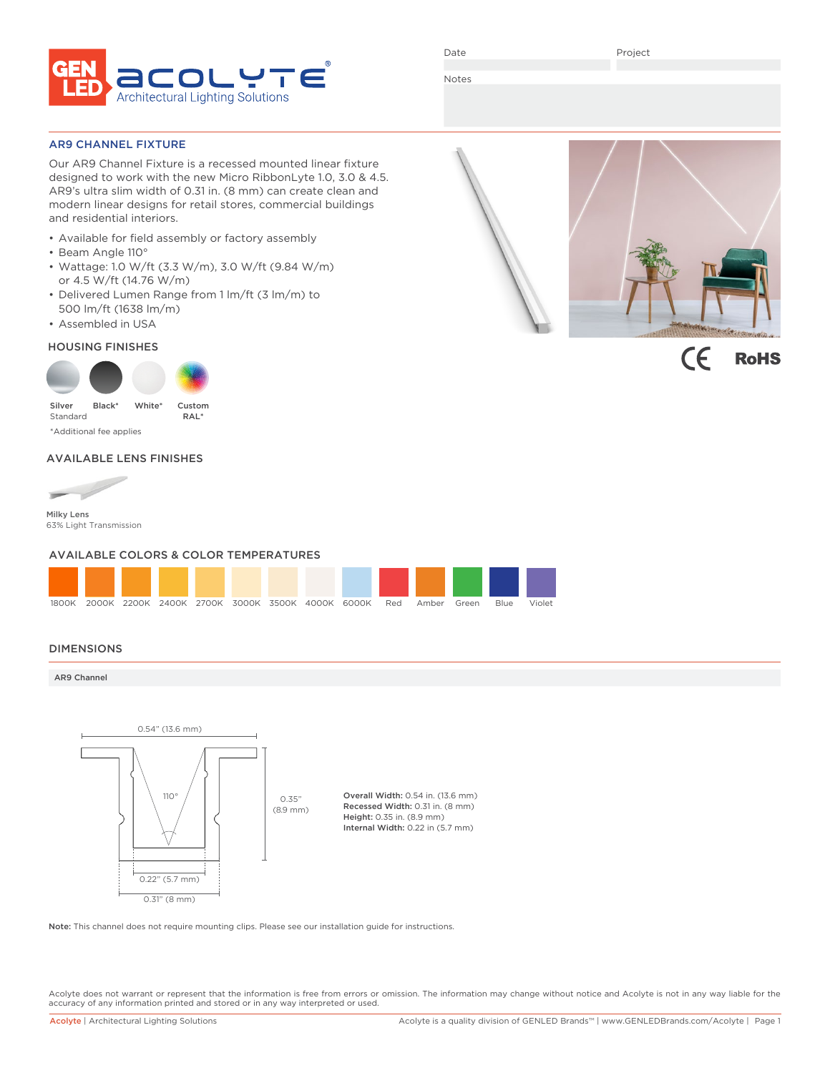

Date

Project

Notes

### AR9 CHANNEL FIXTURE

Our AR9 Channel Fixture is a recessed mounted linear fixture designed to work with the new Micro RibbonLyte 1.0, 3.0 & 4.5. AR9's ultra slim width of 0.31 in. (8 mm) can create clean and modern linear designs for retail stores, commercial buildings and residential interiors.

- Available for field assembly or factory assembly
- Beam Angle 110°
- Wattage: 1.0 W/ft (3.3 W/m), 3.0 W/ft (9.84 W/m) or 4.5 W/ft (14.76 W/m)
- Delivered Lumen Range from 1 lm/ft (3 lm/m) to 500 lm/ft (1638 lm/m)
- Assembled in USA

### HOUSING FINISHES



# AVAILABLE LENS FINISHES



63% Light Transmission

### AVAILABLE COLORS & COLOR TEMPERATURES



### DIMENSIONS

### AR9 Channel



Note: This channel does not require mounting clips. Please see our installation guide for instructions.

Acolyte does not warrant or represent that the information is free from errors or omission. The information may change without notice and Acolyte is not in any way liable for the accuracy of any information printed and stored or in any way interpreted or used.



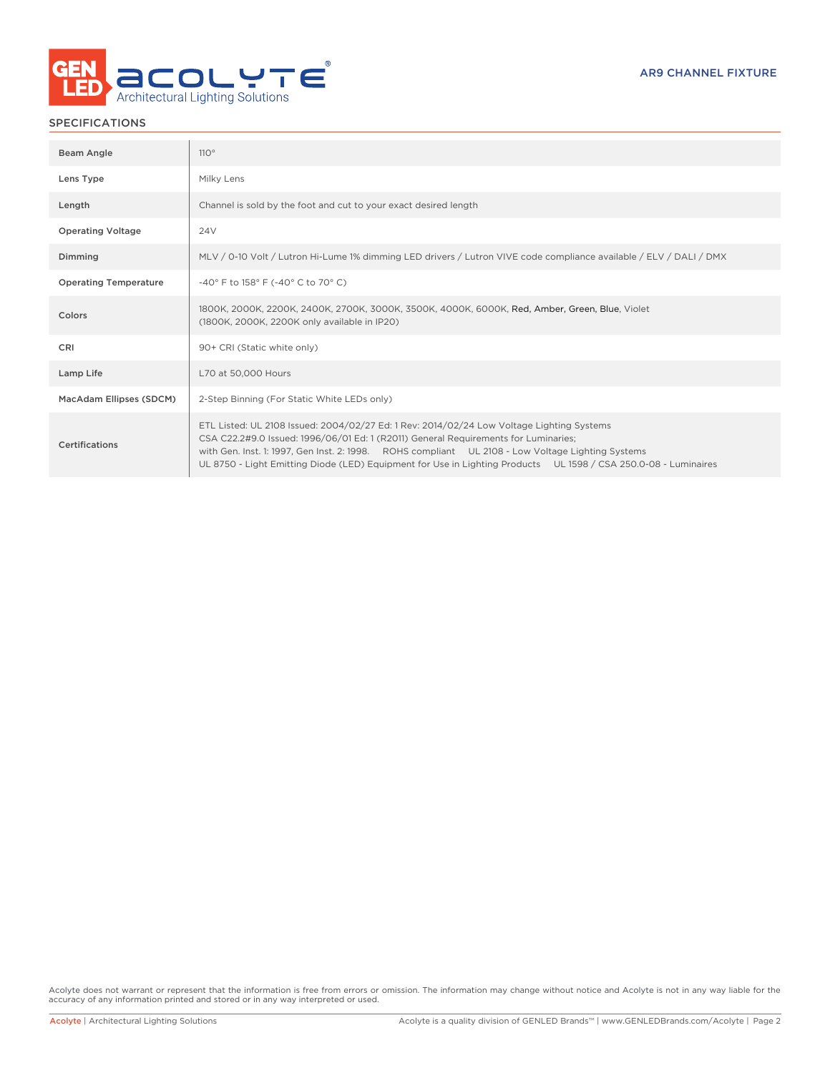

# SPECIFICATIONS

| Beam Angle                   | 110°                                                                                                                                                                                                                                                                                                                                                                                                     |
|------------------------------|----------------------------------------------------------------------------------------------------------------------------------------------------------------------------------------------------------------------------------------------------------------------------------------------------------------------------------------------------------------------------------------------------------|
| Lens Type                    | Milky Lens                                                                                                                                                                                                                                                                                                                                                                                               |
| Length                       | Channel is sold by the foot and cut to your exact desired length                                                                                                                                                                                                                                                                                                                                         |
| <b>Operating Voltage</b>     | 24 <sub>V</sub>                                                                                                                                                                                                                                                                                                                                                                                          |
| Dimming                      | MLV / 0-10 Volt / Lutron Hi-Lume 1% dimming LED drivers / Lutron VIVE code compliance available / ELV / DALI / DMX                                                                                                                                                                                                                                                                                       |
| <b>Operating Temperature</b> | -40° F to 158° F (-40° C to 70° C)                                                                                                                                                                                                                                                                                                                                                                       |
| Colors                       | 1800K, 2000K, 2200K, 2400K, 2700K, 3000K, 3500K, 4000K, 6000K, Red, Amber, Green, Blue, Violet<br>(1800K, 2000K, 2200K only available in IP20)                                                                                                                                                                                                                                                           |
| CRI                          | 90+ CRI (Static white only)                                                                                                                                                                                                                                                                                                                                                                              |
| Lamp Life                    | L70 at 50,000 Hours                                                                                                                                                                                                                                                                                                                                                                                      |
| MacAdam Ellipses (SDCM)      | 2-Step Binning (For Static White LEDs only)                                                                                                                                                                                                                                                                                                                                                              |
| Certifications               | ETL Listed: UL 2108 Issued: 2004/02/27 Ed: 1 Rev: 2014/02/24 Low Voltage Lighting Systems<br>CSA C22.2#9.0 Issued: 1996/06/01 Ed: 1 (R2011) General Requirements for Luminaries;<br>with Gen. Inst. 1: 1997, Gen Inst. 2: 1998. ROHS compliant UL 2108 - Low Voltage Lighting Systems<br>UL 8750 - Light Emitting Diode (LED) Equipment for Use in Lighting Products UL 1598 / CSA 250.0-08 - Luminaires |

Acolyte does not warrant or represent that the information is free from errors or omission. The information may change without notice and Acolyte is not in any way liable for the accuracy of any information printed and stored or in any way interpreted or used.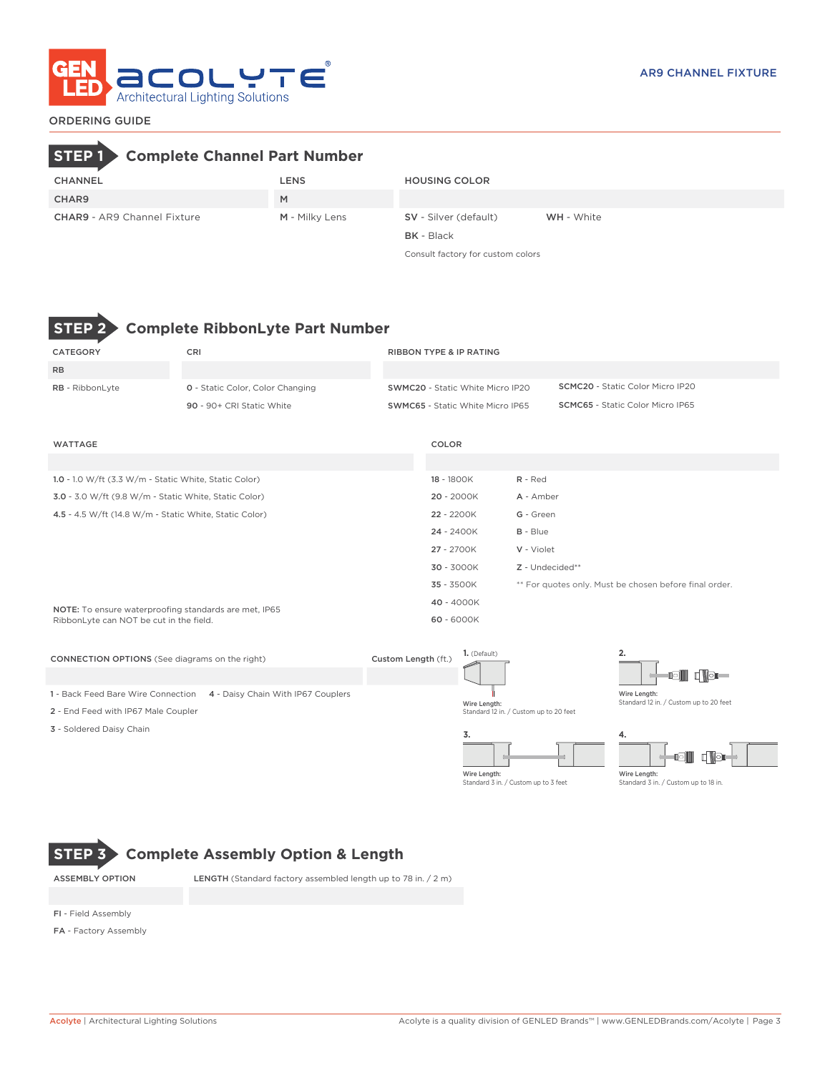

# ORDERING GUIDE

# **STEP 1 Complete Channel Part Number**

| CHANNEL                            | LENS           | <b>HOUSING COLOR</b>         |                   |
|------------------------------------|----------------|------------------------------|-------------------|
| CHAR9                              | M              |                              |                   |
| <b>CHAR9</b> - AR9 Channel Fixture | M - Milky Lens | <b>SV</b> - Silver (default) | <b>WH</b> - White |
|                                    |                | <b>BK</b> - Black            |                   |

Consult factory for custom colors



# **STEP 2 Complete RibbonLyte Part Number**

| CATEGORY               | <b>CRI</b>                              | <b>RIBBON TYPE &amp; IP RATING</b>      |                                         |
|------------------------|-----------------------------------------|-----------------------------------------|-----------------------------------------|
|                        |                                         |                                         |                                         |
| <b>RB</b>              |                                         |                                         |                                         |
| <b>RB</b> - RibbonLyte | <b>0</b> - Static Color, Color Changing | <b>SWMC20 - Static White Micro IP20</b> | <b>SCMC20 - Static Color Micro IP20</b> |
|                        | 90 - 90+ CRI Static White               | <b>SWMC65 - Static White Micro IP65</b> | <b>SCMC65</b> - Static Color Micro IP65 |
| WATTAGE                |                                         | COLOR                                   |                                         |
|                        |                                         |                                         |                                         |

| 1.0 - 1.0 W/ft (3.3 W/m - Static White, Static Color)  | 18 - 1800K   | $R - Red$                                              |
|--------------------------------------------------------|--------------|--------------------------------------------------------|
| 3.0 - 3.0 W/ft (9.8 W/m - Static White, Static Color)  | 20 - 2000K   | A - Amber                                              |
| 4.5 - 4.5 W/ft (14.8 W/m - Static White, Static Color) | 22 - 2200K   | G - Green                                              |
|                                                        | 24 - 2400K   | $B - Blue$                                             |
|                                                        | 27 - 2700K   | V - Violet                                             |
|                                                        | $30 - 3000K$ | $Z$ - Undecided**                                      |
|                                                        | 35 - 3500K   | ** For quotes only. Must be chosen before final order. |
| NOTE: To ensure waterproofing standards are met, IP65  | 40 - 4000K   |                                                        |
| RibbonLyte can NOT be cut in the field.                | 60 - 6000K   |                                                        |
|                                                        |              |                                                        |

| <b>CONNECTION OPTIONS</b> (See diagrams on the right)                    | Custom Length (ft.) | 1. (Default)                                           | ۷.                                                     |
|--------------------------------------------------------------------------|---------------------|--------------------------------------------------------|--------------------------------------------------------|
|                                                                          |                     |                                                        | <b>Tell distri</b>                                     |
| 1 - Back Feed Bare Wire Connection<br>4 - Daisy Chain With IP67 Couplers |                     |                                                        | Wire Length:<br>Standard 12 in. / Custom up to 20 feet |
| 2 - End Feed with IP67 Male Coupler                                      |                     | Wire Length:<br>Standard 12 in. / Custom up to 20 feet |                                                        |
| 3 - Soldered Daisy Chain                                                 |                     |                                                        | 4.                                                     |
|                                                                          |                     |                                                        | n Nor<br>io III                                        |

Wire Length: Standard 3 in. / Custom up to 3 feet

Wire Length: Standard 3 in. / Custom up to 18 in.

# **STEP 3 Complete Assembly Option & Length**

ASSEMBLY OPTION LENGTH (Standard factory assembled length up to 78 in. / 2 m)

FI - Field Assembly

FA - Factory Assembly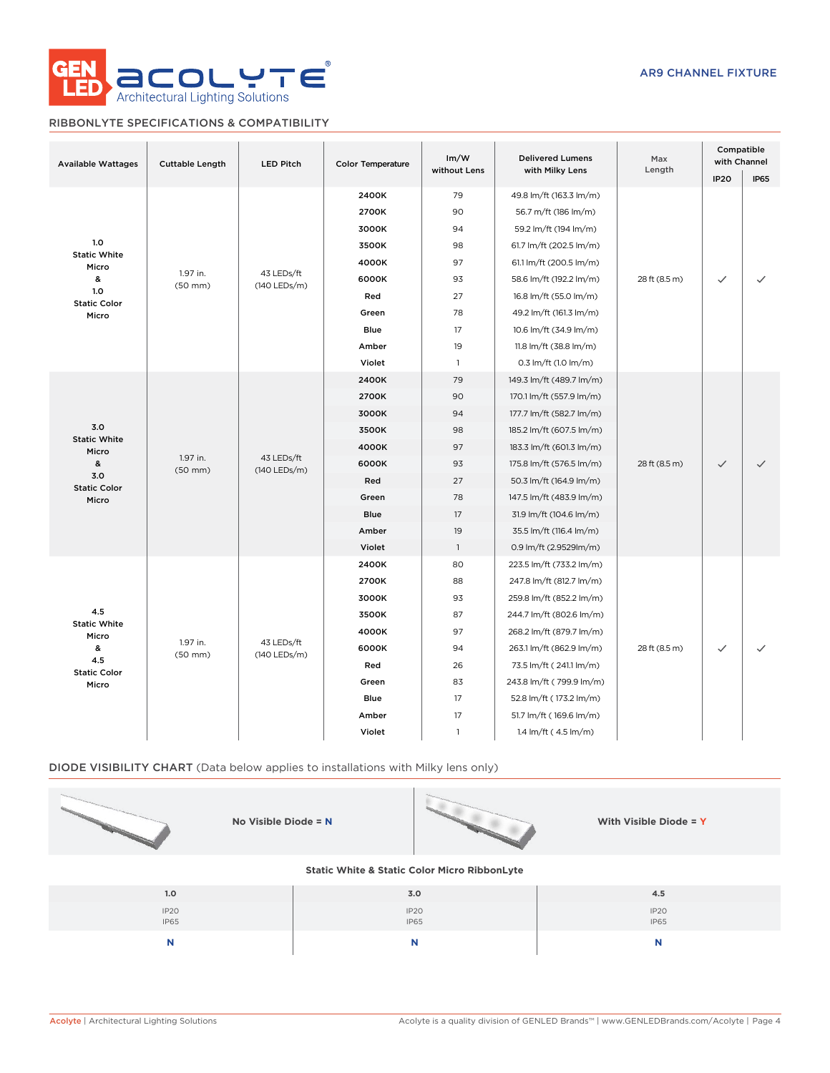

# RIBBONLYTE SPECIFICATIONS & COMPATIBILITY

| <b>Available Wattages</b>  | <b>Cuttable Length</b>   | <b>LED Pitch</b>           | <b>Color Temperature</b> | Im/W<br>without Lens | <b>Delivered Lumens</b><br>with Milky Lens | Max<br>Length | Compatible<br>with Channel<br><b>IP20</b> | <b>IP65</b> |       |    |                          |       |    |                          |
|----------------------------|--------------------------|----------------------------|--------------------------|----------------------|--------------------------------------------|---------------|-------------------------------------------|-------------|-------|----|--------------------------|-------|----|--------------------------|
|                            |                          |                            | 2400K                    | 79                   | 49.8 lm/ft (163.3 lm/m)                    |               |                                           |             |       |    |                          |       |    |                          |
|                            |                          |                            | 2700K                    | 90                   | 56.7 m/ft (186 lm/m)                       |               |                                           |             |       |    |                          |       |    |                          |
|                            |                          |                            | 3000K                    | 94                   | 59.2 lm/ft (194 lm/m)                      |               |                                           |             |       |    |                          |       |    |                          |
| 1.0<br><b>Static White</b> |                          |                            | 3500K                    | 98                   | 61.7 lm/ft (202.5 lm/m)                    |               |                                           |             |       |    |                          |       |    |                          |
| Micro                      |                          |                            | 4000K                    | 97                   | 61.1 lm/ft (200.5 lm/m)                    |               |                                           |             |       |    |                          |       |    |                          |
| &                          | 1.97 in.<br>$(50$ mm $)$ | 43 LEDs/ft<br>(140 LEDs/m) | 6000K                    | 93                   | 58.6 lm/ft (192.2 lm/m)                    | 28 ft (8.5 m) | $\checkmark$                              |             |       |    |                          |       |    |                          |
| 1.0<br><b>Static Color</b> |                          |                            | Red                      | 27                   | 16.8 lm/ft (55.0 lm/m)                     |               |                                           |             |       |    |                          |       |    |                          |
| Micro                      |                          |                            | Green                    | 78                   | 49.2 lm/ft (161.3 lm/m)                    |               |                                           |             |       |    |                          |       |    |                          |
|                            |                          |                            | <b>Blue</b>              | 17                   | 10.6 lm/ft (34.9 lm/m)                     |               |                                           |             |       |    |                          |       |    |                          |
|                            |                          |                            | Amber                    | 19                   | 11.8 lm/ft (38.8 lm/m)                     |               |                                           |             |       |    |                          |       |    |                          |
|                            |                          |                            | Violet                   | $\overline{1}$       | 0.3 lm/ft (1.0 lm/m)                       |               |                                           |             |       |    |                          |       |    |                          |
|                            |                          |                            | 2400K                    | 79                   | 149.3 lm/ft (489.7 lm/m)                   |               |                                           |             |       |    |                          |       |    |                          |
|                            |                          |                            | 2700K                    | 90                   | 170.1 lm/ft (557.9 lm/m)                   |               |                                           |             |       |    |                          |       |    |                          |
|                            |                          | 43 LEDs/ft<br>(140 LEDs/m) | 3000K                    | 94                   | 177.7 lm/ft (582.7 lm/m)                   |               |                                           |             |       |    |                          |       |    |                          |
| 3.0<br><b>Static White</b> |                          |                            | 3500K                    | 98                   | 185.2 lm/ft (607.5 lm/m)                   |               |                                           |             |       |    |                          |       |    |                          |
| Micro                      | 1.97 in.<br>$(50$ mm $)$ |                            |                          |                      |                                            |               |                                           |             | 4000K | 97 | 183.3 lm/ft (601.3 lm/m) |       |    |                          |
| &                          |                          |                            |                          |                      |                                            |               |                                           |             |       |    |                          | 6000K | 93 | 175.8 lm/ft (576.5 lm/m) |
| 3.0<br><b>Static Color</b> |                          |                            | Red                      | 27                   | 50.3 lm/ft (164.9 lm/m)                    |               |                                           |             |       |    |                          |       |    |                          |
| Micro                      |                          |                            | Green                    | 78                   | 147.5 lm/ft (483.9 lm/m)                   |               |                                           |             |       |    |                          |       |    |                          |
|                            |                          |                            | <b>Blue</b>              | 17                   | 31.9 lm/ft (104.6 lm/m)                    |               |                                           |             |       |    |                          |       |    |                          |
|                            |                          |                            | Amber                    | 19                   | 35.5 lm/ft (116.4 lm/m)                    |               |                                           |             |       |    |                          |       |    |                          |
|                            |                          |                            | Violet                   | $\overline{1}$       | 0.9 lm/ft (2.9529lm/m)                     |               |                                           |             |       |    |                          |       |    |                          |
|                            |                          |                            | 2400K                    | 80                   | 223.5 lm/ft (733.2 lm/m)                   |               |                                           |             |       |    |                          |       |    |                          |
|                            |                          |                            | 2700K                    | 88                   | 247.8 lm/ft (812.7 lm/m)                   |               |                                           |             |       |    |                          |       |    |                          |
|                            |                          |                            | 3000K                    | 93                   | 259.8 lm/ft (852.2 lm/m)                   |               |                                           |             |       |    |                          |       |    |                          |
| 4.5<br><b>Static White</b> |                          |                            | 3500K                    | 87                   | 244.7 lm/ft (802.6 lm/m)                   |               |                                           |             |       |    |                          |       |    |                          |
| Micro                      |                          |                            | 4000K                    | 97                   | 268.2 lm/ft (879.7 lm/m)                   |               |                                           |             |       |    |                          |       |    |                          |
| &                          | 1.97 in.<br>$(50$ mm $)$ | 43 LEDs/ft<br>(140 LEDs/m) | 6000K                    | 94                   | 263.1 lm/ft (862.9 lm/m)                   | 28 ft (8.5 m) | $\checkmark$                              |             |       |    |                          |       |    |                          |
| 4.5<br><b>Static Color</b> |                          |                            | Red                      | 26                   | 73.5 lm/ft (241.1 lm/m)                    |               |                                           |             |       |    |                          |       |    |                          |
| Micro                      |                          |                            | Green                    | 83                   | 243.8 lm/ft (799.9 lm/m)                   |               |                                           |             |       |    |                          |       |    |                          |
|                            |                          |                            | <b>Blue</b>              | 17                   | 52.8 lm/ft (173.2 lm/m)                    |               |                                           |             |       |    |                          |       |    |                          |
|                            |                          |                            | Amber                    | 17                   | 51.7 lm/ft (169.6 lm/m)                    |               |                                           |             |       |    |                          |       |    |                          |
|                            |                          |                            | Violet                   | $\mathbf{1}$         | 1.4 lm/ft (4.5 lm/m)                       |               |                                           |             |       |    |                          |       |    |                          |

# DIODE VISIBILITY CHART (Data below applies to installations with Milky lens only)

| No Visible Diode = $N$                                  |              | With Visible Diode = Y   |  |  |  |  |  |  |  |
|---------------------------------------------------------|--------------|--------------------------|--|--|--|--|--|--|--|
| <b>Static White &amp; Static Color Micro RibbonLyte</b> |              |                          |  |  |  |  |  |  |  |
| 1.0                                                     | 3.0          | 4.5                      |  |  |  |  |  |  |  |
| IP20<br>IP65                                            | IP20<br>IP65 | IP <sub>20</sub><br>IP65 |  |  |  |  |  |  |  |

**N N N**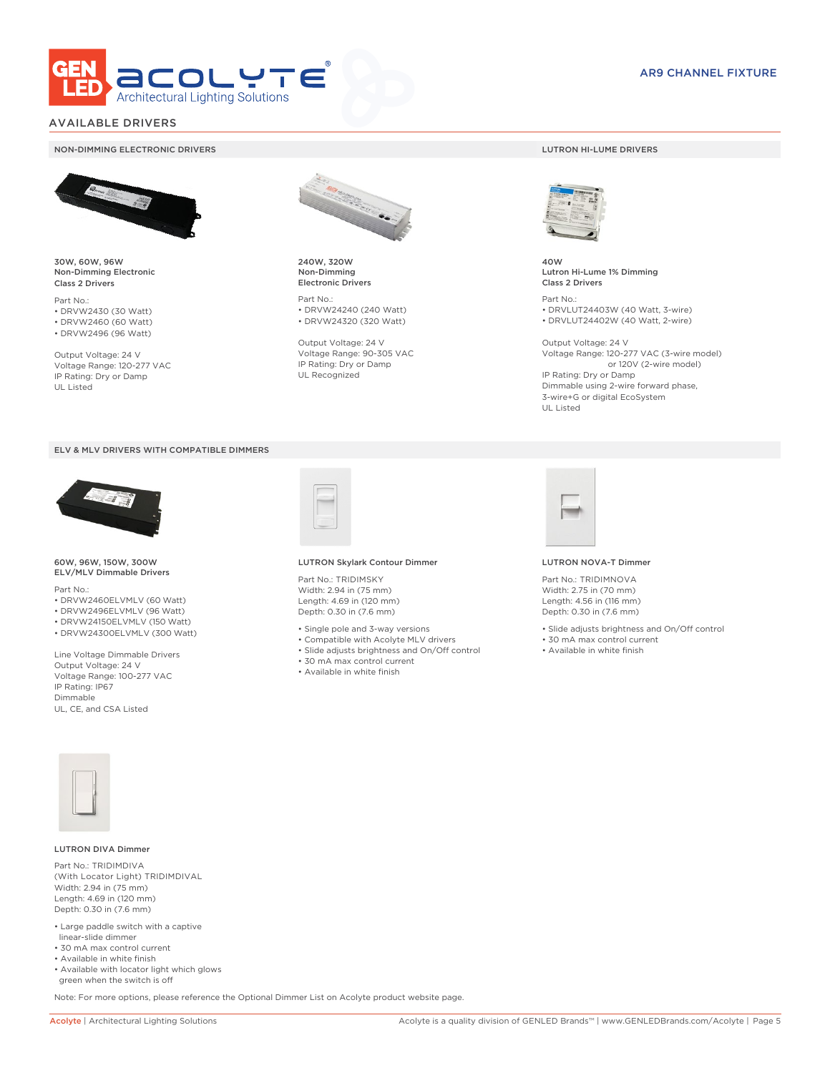

## AVAILABLE DRIVERS

### NON-DIMMING ELECTRONIC DRIVERS LUTRON HI-LUME DRIVERS



30W, 60W, 96W Non-Dimming Electronic Class 2 Drivers

Part No.: • DRVW2430 (30 Watt) • DRVW2460 (60 Watt)

• DRVW2496 (96 Watt)

Output Voltage: 24 V Voltage Range: 120-277 VAC IP Rating: Dry or Damp UL Listed





60W, 96W, 150W, 300W ELV/MLV Dimmable Drivers

Part No.:

- DRVW2460ELVMLV (60 Watt)
- DRVW2496ELVMLV (96 Watt)
- DRVW24150ELVMLV (150 Watt) • DRVW24300ELVMLV (300 Watt)
- 

Line Voltage Dimmable Drivers Output Voltage: 24 V Voltage Range: 100-277 VAC IP Rating: IP67 Dimmable UL, CE, and CSA Listed



240W, 320W Non-Dimming Electronic Drivers

Part No.: • DRVW24240 (240 Watt) • DRVW24320 (320 Watt)

Output Voltage: 24 V Voltage Range: 90-305 VAC IP Rating: Dry or Damp UL Recognized



40W Lutron Hi-Lume 1% Dimming Class 2 Drivers

Part No.: • DRVLUT24403W (40 Watt, 3-wire) • DRVLUT24402W (40 Watt, 2-wire)

Output Voltage: 24 V Voltage Range: 120-277 VAC (3-wire model) or 120V (2-wire model) IP Rating: Dry or Damp Dimmable using 2-wire forward phase, 3-wire+G or digital EcoSystem UL Listed



### LUTRON NOVA-T Dimmer

Part No.: TRIDIMNOVA Width: 2.75 in (70 mm) Length: 4.56 in (116 mm) Depth: 0.30 in (7.6 mm)

- Slide adjusts brightness and On/Off control
- 30 mA max control current
- Available in white finish



### LUTRON DIVA Dimmer

Part No.: TRIDIMDIVA (With Locator Light) TRIDIMDIVAL Width: 2.94 in (75 mm) Length: 4.69 in (120 mm) Depth: 0.30 in (7.6 mm)

- Large paddle switch with a captive linear-slide dimmer
- 30 mA max control current
- Available in white finish
- Available with locator light which glows green when the switch is off

Note: For more options, please reference the Optional Dimmer List on Acolyte product website page.

Part No.: TRIDIMSKY Width: 2.94 in (75 mm) Length: 4.69 in (120 mm) Depth: 0.30 in (7.6 mm)

• Single pole and 3-way versions

LUTRON Skylark Contour Dimmer

- Compatible with Acolyte MLV drivers
- Slide adjusts brightness and On/Off control
- 30 mA max control current
- Available in white finish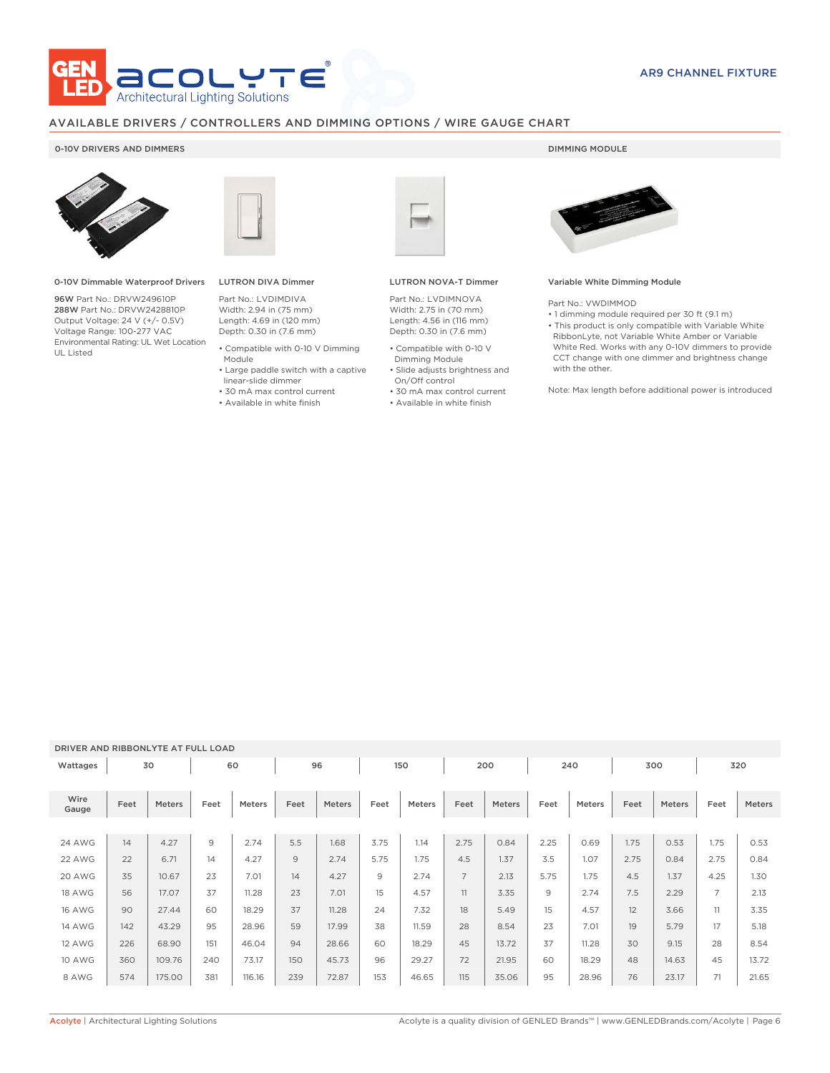

# AVAILABLE DRIVERS / CONTROLLERS AND DIMMING OPTIONS / WIRE GAUGE CHART

## 0-10V DRIVERS AND DIMMERS **DIMMING MODULE**



0-10V Dimmable Waterproof Drivers

96W Part No.: DRVW249610P 288W Part No.: DRVW2428810P Output Voltage: 24 V (+/- 0.5V) Voltage Range: 100-277 VAC Environmental Rating: UL Wet Location UL Listed



# LUTRON DIVA Dimmer

Part No.: LVDIMDIVA Width: 2.94 in (75 mm) Length: 4.69 in (120 mm) Depth: 0.30 in (7.6 mm)

- Compatible with 0-10 V Dimming Module
- Large paddle switch with a captive
- linear-slide dimmer
- 
- 30 mA max control current
- Available in white finish



### LUTRON NOVA-T Dimmer

Part No.: LVDIMNOVA Width: 2.75 in (70 mm) Length: 4.56 in (116 mm) Depth: 0.30 in (7.6 mm)

- Compatible with 0-10 V Dimming Module
- Slide adjusts brightness and On/Off control
- 30 mA max control current
- Available in white finish



### Variable White Dimming Module

Part No.: VWDIMMOD

• 1 dimming module required per 30 ft (9.1 m) • This product is only compatible with Variable White RibbonLyte, not Variable White Amber or Variable White Red. Works with any 0-10V dimmers to provide CCT change with one dimmer and brightness change with the other.

Note: Max length before additional power is introduced

### DRIVER AND RIBBONLYTE AT FULL LOAD

| Wattages      |      | 30     |                | 60            |      | 96     |      | 150           |                | 200    |      | 240    |      | 300           |                | 320    |
|---------------|------|--------|----------------|---------------|------|--------|------|---------------|----------------|--------|------|--------|------|---------------|----------------|--------|
| Wire<br>Gauge | Feet | Meters | Feet           | <b>Meters</b> | Feet | Meters | Feet | <b>Meters</b> | Feet           | Meters | Feet | Meters | Feet | <b>Meters</b> | Feet           | Meters |
|               |      |        |                |               |      |        |      |               |                |        |      |        |      |               |                |        |
| <b>24 AWG</b> | 14   | 4.27   | $\overline{9}$ | 2.74          | 5.5  | 1.68   | 3.75 | 1.14          | 2.75           | 0.84   | 2.25 | 0.69   | 1.75 | 0.53          | 1.75           | 0.53   |
| 22 AWG        | 22   | 6.71   | 14             | 4.27          | 9    | 2.74   | 5.75 | 1.75          | 4.5            | 1.37   | 3.5  | 1.07   | 2.75 | 0.84          | 2.75           | 0.84   |
| 20 AWG        | 35   | 10.67  | 23             | 7.01          | 14   | 4.27   | 9    | 2.74          | $\overline{7}$ | 2.13   | 5.75 | 1.75   | 4.5  | 1.37          | 4.25           | 1.30   |
| 18 AWG        | 56   | 17.07  | 37             | 11.28         | 23   | 7.01   | 15   | 4.57          | 11             | 3.35   | 9    | 2.74   | 7.5  | 2.29          | $\overline{7}$ | 2.13   |
| <b>16 AWG</b> | 90   | 27.44  | 60             | 18.29         | 37   | 11.28  | 24   | 7.32          | 18             | 5.49   | 15   | 4.57   | 12   | 3.66          | 11             | 3.35   |
| <b>14 AWG</b> | 142  | 43.29  | 95             | 28.96         | 59   | 17.99  | 38   | 11.59         | 28             | 8.54   | 23   | 7.01   | 19   | 5.79          | 17             | 5.18   |
| 12 AWG        | 226  | 68.90  | 151            | 46.04         | 94   | 28.66  | 60   | 18.29         | 45             | 13.72  | 37   | 11.28  | 30   | 9.15          | 28             | 8.54   |
| <b>10 AWG</b> | 360  | 109.76 | 240            | 73.17         | 150  | 45.73  | 96   | 29.27         | 72             | 21.95  | 60   | 18.29  | 48   | 14.63         | 45             | 13.72  |
| 8 AWG         | 574  | 175.00 | 381            | 116.16        | 239  | 72.87  | 153  | 46.65         | 115            | 35.06  | 95   | 28.96  | 76   | 23.17         | 71             | 21.65  |